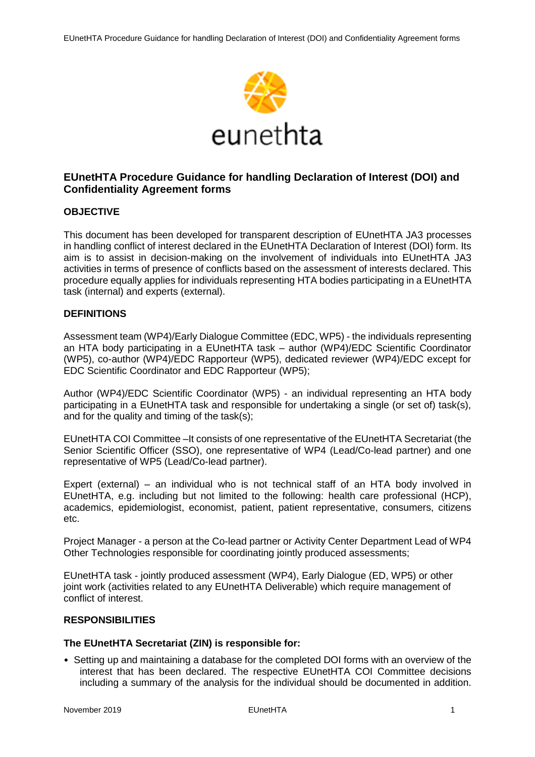

# **EUnetHTA Procedure Guidance for handling Declaration of Interest (DOI) and Confidentiality Agreement forms**

### **OBJECTIVE**

This document has been developed for transparent description of EUnetHTA JA3 processes in handling conflict of interest declared in the EUnetHTA Declaration of Interest (DOI) form. Its aim is to assist in decision-making on the involvement of individuals into EUnetHTA JA3 activities in terms of presence of conflicts based on the assessment of interests declared. This procedure equally applies for individuals representing HTA bodies participating in a EUnetHTA task (internal) and experts (external).

### **DEFINITIONS**

Assessment team (WP4)/Early Dialogue Committee (EDC, WP5) - the individuals representing an HTA body participating in a EUnetHTA task – author (WP4)/EDC Scientific Coordinator (WP5), co-author (WP4)/EDC Rapporteur (WP5), dedicated reviewer (WP4)/EDC except for EDC Scientific Coordinator and EDC Rapporteur (WP5);

Author (WP4)/EDC Scientific Coordinator (WP5) - an individual representing an HTA body participating in a EUnetHTA task and responsible for undertaking a single (or set of) task(s), and for the quality and timing of the task(s);

EUnetHTA COI Committee –It consists of one representative of the EUnetHTA Secretariat (the Senior Scientific Officer (SSO), one representative of WP4 (Lead/Co-lead partner) and one representative of WP5 (Lead/Co-lead partner).

Expert (external) – an individual who is not technical staff of an HTA body involved in EUnetHTA, e.g. including but not limited to the following: health care professional (HCP), academics, epidemiologist, economist, patient, patient representative, consumers, citizens etc.

Project Manager - a person at the Co-lead partner or Activity Center Department Lead of WP4 Other Technologies responsible for coordinating jointly produced assessments;

EUnetHTA task - jointly produced assessment (WP4), Early Dialogue (ED, WP5) or other joint work (activities related to any EUnetHTA Deliverable) which require management of conflict of interest.

### **RESPONSIBILITIES**

### **The EUnetHTA Secretariat (ZIN) is responsible for:**

• Setting up and maintaining a database for the completed DOI forms with an overview of the interest that has been declared. The respective EUnetHTA COI Committee decisions including a summary of the analysis for the individual should be documented in addition.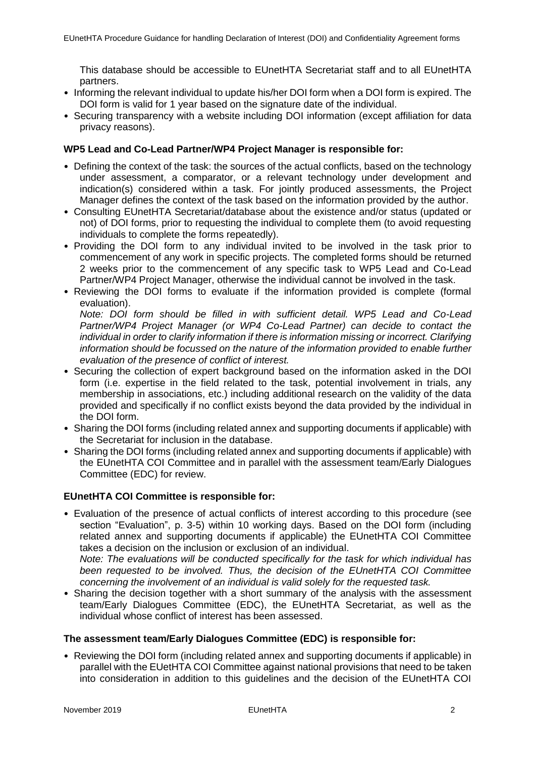This database should be accessible to EUnetHTA Secretariat staff and to all EUnetHTA partners.

- Informing the relevant individual to update his/her DOI form when a DOI form is expired. The DOI form is valid for 1 year based on the signature date of the individual.
- Securing transparency with a website including DOI information (except affiliation for data privacy reasons).

### **WP5 Lead and Co-Lead Partner/WP4 Project Manager is responsible for:**

- Defining the context of the task: the sources of the actual conflicts, based on the technology under assessment, a comparator, or a relevant technology under development and indication(s) considered within a task. For jointly produced assessments, the Project Manager defines the context of the task based on the information provided by the author.
- Consulting EUnetHTA Secretariat/database about the existence and/or status (updated or not) of DOI forms, prior to requesting the individual to complete them (to avoid requesting individuals to complete the forms repeatedly).
- Providing the DOI form to any individual invited to be involved in the task prior to commencement of any work in specific projects. The completed forms should be returned 2 weeks prior to the commencement of any specific task to WP5 Lead and Co-Lead Partner/WP4 Project Manager, otherwise the individual cannot be involved in the task.
- Reviewing the DOI forms to evaluate if the information provided is complete (formal evaluation).

*Note: DOI form should be filled in with sufficient detail. WP5 Lead and Co-Lead Partner/WP4 Project Manager (or WP4 Co-Lead Partner) can decide to contact the individual in order to clarify information if there is information missing or incorrect. Clarifying information should be focussed on the nature of the information provided to enable further evaluation of the presence of conflict of interest.*

- Securing the collection of expert background based on the information asked in the DOI form (i.e. expertise in the field related to the task, potential involvement in trials, any membership in associations, etc.) including additional research on the validity of the data provided and specifically if no conflict exists beyond the data provided by the individual in the DOI form.
- Sharing the DOI forms (including related annex and supporting documents if applicable) with the Secretariat for inclusion in the database.
- Sharing the DOI forms (including related annex and supporting documents if applicable) with the EUnetHTA COI Committee and in parallel with the assessment team/Early Dialogues Committee (EDC) for review.

## **EUnetHTA COI Committee is responsible for:**

• Evaluation of the presence of actual conflicts of interest according to this procedure (see section "Evaluation", p. 3-5) within 10 working days. Based on the DOI form (including related annex and supporting documents if applicable) the EUnetHTA COI Committee takes a decision on the inclusion or exclusion of an individual. *Note: The evaluations will be conducted specifically for the task for which individual has* 

*been requested to be involved. Thus, the decision of the EUnetHTA COI Committee concerning the involvement of an individual is valid solely for the requested task.* 

• Sharing the decision together with a short summary of the analysis with the assessment team/Early Dialogues Committee (EDC), the EUnetHTA Secretariat, as well as the individual whose conflict of interest has been assessed.

### **The assessment team/Early Dialogues Committee (EDC) is responsible for:**

• Reviewing the DOI form (including related annex and supporting documents if applicable) in parallel with the EUetHTA COI Committee against national provisions that need to be taken into consideration in addition to this guidelines and the decision of the EUnetHTA COI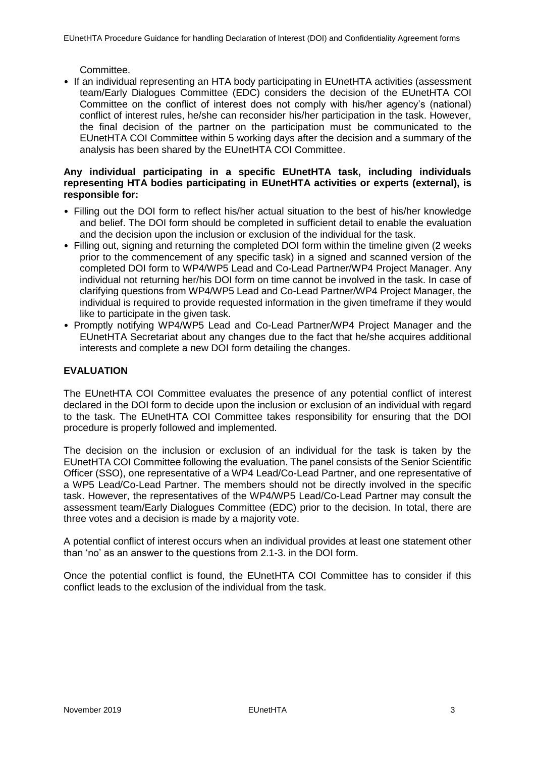Committee.

• If an individual representing an HTA body participating in EUnetHTA activities (assessment team/Early Dialogues Committee (EDC) considers the decision of the EUnetHTA COI Committee on the conflict of interest does not comply with his/her agency's (national) conflict of interest rules, he/she can reconsider his/her participation in the task. However, the final decision of the partner on the participation must be communicated to the EUnetHTA COI Committee within 5 working days after the decision and a summary of the analysis has been shared by the EUnetHTA COI Committee.

#### **Any individual participating in a specific EUnetHTA task, including individuals representing HTA bodies participating in EUnetHTA activities or experts (external), is responsible for:**

- Filling out the DOI form to reflect his/her actual situation to the best of his/her knowledge and belief. The DOI form should be completed in sufficient detail to enable the evaluation and the decision upon the inclusion or exclusion of the individual for the task.
- Filling out, signing and returning the completed DOI form within the timeline given (2 weeks prior to the commencement of any specific task) in a signed and scanned version of the completed DOI form to WP4/WP5 Lead and Co-Lead Partner/WP4 Project Manager. Any individual not returning her/his DOI form on time cannot be involved in the task. In case of clarifying questions from WP4/WP5 Lead and Co-Lead Partner/WP4 Project Manager, the individual is required to provide requested information in the given timeframe if they would like to participate in the given task.
- Promptly notifying WP4/WP5 Lead and Co-Lead Partner/WP4 Project Manager and the EUnetHTA Secretariat about any changes due to the fact that he/she acquires additional interests and complete a new DOI form detailing the changes.

## **EVALUATION**

The EUnetHTA COI Committee evaluates the presence of any potential conflict of interest declared in the DOI form to decide upon the inclusion or exclusion of an individual with regard to the task. The EUnetHTA COI Committee takes responsibility for ensuring that the DOI procedure is properly followed and implemented.

The decision on the inclusion or exclusion of an individual for the task is taken by the EUnetHTA COI Committee following the evaluation. The panel consists of the Senior Scientific Officer (SSO), one representative of a WP4 Lead/Co-Lead Partner, and one representative of a WP5 Lead/Co-Lead Partner. The members should not be directly involved in the specific task. However, the representatives of the WP4/WP5 Lead/Co-Lead Partner may consult the assessment team/Early Dialogues Committee (EDC) prior to the decision. In total, there are three votes and a decision is made by a majority vote.

A potential conflict of interest occurs when an individual provides at least one statement other than 'no' as an answer to the questions from 2.1-3. in the DOI form.

Once the potential conflict is found, the EUnetHTA COI Committee has to consider if this conflict leads to the exclusion of the individual from the task.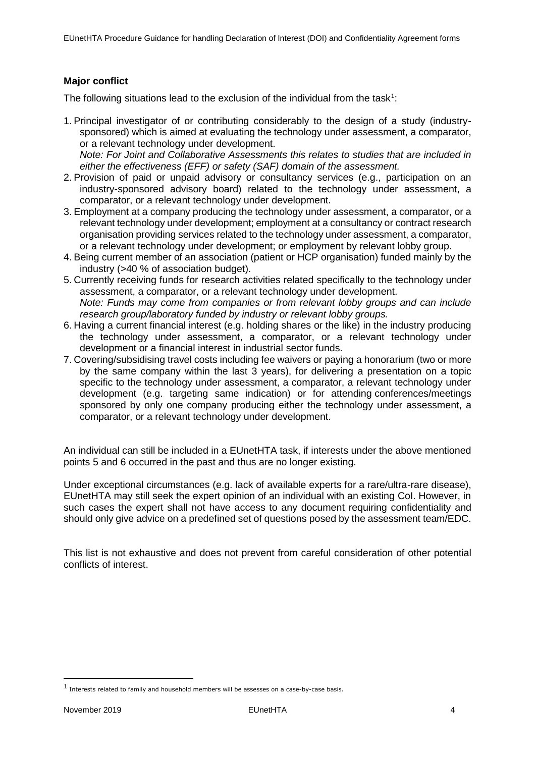### **Major conflict**

The following situations lead to the exclusion of the individual from the task<sup>1</sup>:

- 1. Principal investigator of or contributing considerably to the design of a study (industrysponsored) which is aimed at evaluating the technology under assessment, a comparator, or a relevant technology under development. *Note: For Joint and Collaborative Assessments this relates to studies that are included in either the effectiveness (EFF) or safety (SAF) domain of the assessment.*
- 2. Provision of paid or unpaid advisory or consultancy services (e.g., participation on an industry-sponsored advisory board) related to the technology under assessment, a comparator, or a relevant technology under development.
- 3. Employment at a company producing the technology under assessment, a comparator, or a relevant technology under development; employment at a consultancy or contract research organisation providing services related to the technology under assessment, a comparator, or a relevant technology under development; or employment by relevant lobby group.
- 4. Being current member of an association (patient or HCP organisation) funded mainly by the industry (>40 % of association budget).
- 5. Currently receiving funds for research activities related specifically to the technology under assessment, a comparator, or a relevant technology under development. *Note: Funds may come from companies or from relevant lobby groups and can include research group/laboratory funded by industry or relevant lobby groups.*
- 6. Having a current financial interest (e.g. holding shares or the like) in the industry producing the technology under assessment, a comparator, or a relevant technology under development or a financial interest in industrial sector funds.
- 7. Covering/subsidising travel costs including fee waivers or paying a honorarium (two or more by the same company within the last 3 years), for delivering a presentation on a topic specific to the technology under assessment, a comparator, a relevant technology under development (e.g. targeting same indication) or for attending conferences/meetings sponsored by only one company producing either the technology under assessment, a comparator, or a relevant technology under development.

An individual can still be included in a EUnetHTA task, if interests under the above mentioned points 5 and 6 occurred in the past and thus are no longer existing.

Under exceptional circumstances (e.g. lack of available experts for a rare/ultra-rare disease), EUnetHTA may still seek the expert opinion of an individual with an existing CoI. However, in such cases the expert shall not have access to any document requiring confidentiality and should only give advice on a predefined set of questions posed by the assessment team/EDC.

This list is not exhaustive and does not prevent from careful consideration of other potential conflicts of interest.

ı

<sup>1</sup> Interests related to family and household members will be assesses on a case-by-case basis.